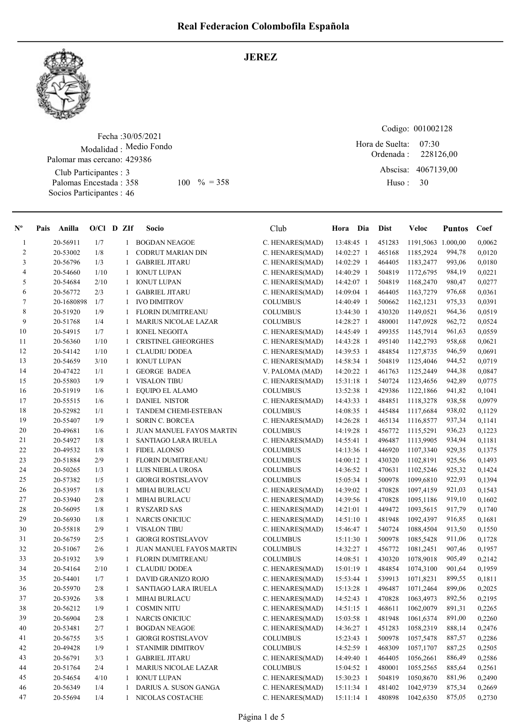

Fecha : 30/05/2021 Modalidad : Medio Fondo Club Participantes : 3 Palomar mas cercano: 429386

Palomas Encestada : Socios Participantes : 46  $100 \, \degree\% = 358$  Huso: 30

| o 1<br>D)<br>٦٩.<br>11 J L<br>v.<br>œ |
|---------------------------------------|
|---------------------------------------|

Ordenada : Abscisa: 4067139,00 Huso : 07:30 Hora de Suelta: 228126,00

Codigo: 001002128

| $N^{\circ}$    | Pais | Anilla     | $O/Cl$ D ZIf |    | Socio                           | Club            | Hora Dia     | <b>Dist</b> | Veloc              | <b>Puntos</b> | Coef   |
|----------------|------|------------|--------------|----|---------------------------------|-----------------|--------------|-------------|--------------------|---------------|--------|
| $\mathbf{1}$   |      | 20-56911   | 1/7          | 1  | <b>BOGDAN NEAGOE</b>            | C. HENARES(MAD) | 13:48:45 1   | 451283      | 1191,5063 1.000,00 |               | 0,0062 |
| $\overline{c}$ |      | 20-53002   | $1/8$        | 1  | <b>CODRUT MARIAN DIN</b>        | C. HENARES(MAD) | 14:02:27 1   | 465168      | 1185,2924          | 994,78        | 0,0120 |
| 3              |      | 20-56796   | 1/3          | 1  | <b>GABRIEL JITARU</b>           | C. HENARES(MAD) | 14:02:29 1   | 464405      | 1183,2477          | 993,06        | 0,0180 |
| 4              |      | 20-54660   | 1/10         | 1  | <b>IONUT LUPAN</b>              | C. HENARES(MAD) | 14:40:29 1   | 504819      | 1172,6795          | 984,19        | 0,0221 |
| 5              |      | 20-54684   | 2/10         | 1  | <b>IONUT LUPAN</b>              | C. HENARES(MAD) | 14:42:07 1   | 504819      | 1168,2470          | 980,47        | 0,0277 |
| 6              |      | 20-56772   | 2/3          | 1  | <b>GABRIEL JITARU</b>           | C. HENARES(MAD) | 14:09:04 1   | 464405      | 1163,7279          | 976,68        | 0,0361 |
| $\tau$         |      | 20-1680898 | 1/7          | 1  | <b>IVO DIMITROV</b>             | <b>COLUMBUS</b> | 14:40:49 1   | 500662      | 1162,1231          | 975,33        | 0,0391 |
| 8              |      | 20-51920   | 1/9          | 1  | FLORIN DUMITREANU               | <b>COLUMBUS</b> | 13:44:30 1   | 430320      | 1149,0521          | 964,36        | 0,0519 |
| 9              |      | 20-51768   | 1/4          |    | <b>MARIUS NICOLAE LAZAR</b>     | <b>COLUMBUS</b> | 14:28:27 1   | 480001      | 1147,0928          | 962,72        | 0,0524 |
| 10             |      | 20-54915   | 1/7          | 1  | <b>IONEL NEGOITA</b>            | C. HENARES(MAD) | 14:45:49 1   | 499355      | 1145,7914          | 961,63        | 0,0559 |
| 11             |      | 20-56360   | 1/10         | 1  | <b>CRISTINEL GHEORGHES</b>      | C. HENARES(MAD) | 14:43:28 1   | 495140      | 1142,2793          | 958,68        | 0,0621 |
| 12             |      | 20-54142   | 1/10         | 1  | <b>CLAUDIU DODEA</b>            | C. HENARES(MAD) | 14:39:53 1   | 484854      | 1127,8735          | 946,59        | 0,0691 |
| 13             |      | 20-54659   | 3/10         | 1  | <b>IONUT LUPAN</b>              | C. HENARES(MAD) | 14:58:34 1   | 504819      | 1125,4046          | 944,52        | 0,0719 |
| 14             |      | 20-47422   | 1/1          | 1  | <b>GEORGE BADEA</b>             | V. PALOMA (MAD) | 14:20:22 1   | 461763      | 1125,2449          | 944,38        | 0,0847 |
| 15             |      | 20-55803   | 1/9          | 1  | <b>VISALON TIBU</b>             | C. HENARES(MAD) | 15:31:18 1   | 540724      | 1123,4656          | 942,89        | 0,0775 |
| 16             |      | 20-51919   | 1/6          | 1  | EQUIPO EL ALAMO                 | <b>COLUMBUS</b> | 13:52:38 1   | 429386      | 1122,1866          | 941,82        | 0,1041 |
| 17             |      | 20-55515   | 1/6          | 1  | <b>DANIEL NISTOR</b>            | C. HENARES(MAD) | 14:43:33 1   | 484851      | 1118,3278          | 938,58        | 0,0979 |
| 18             |      | 20-52982   | 1/1          | -1 | TANDEM CHEMI-ESTEBAN            | <b>COLUMBUS</b> | 14:08:35 1   | 445484      | 1117,6684          | 938,02        | 0,1129 |
| 19             |      | 20-55407   | 1/9          | 1  | <b>SORIN C. BORCEA</b>          | C. HENARES(MAD) | 14:26:28 1   | 465134      | 1116,8577          | 937,34        | 0,1141 |
| 20             |      | 20-49681   | 1/6          | 1  | <b>JUAN MANUEL FAYOS MARTIN</b> | <b>COLUMBUS</b> | 14:19:28 1   | 456772      | 1115,5291          | 936,23        | 0,1223 |
| 21             |      | 20-54927   | 1/8          |    | <b>SANTIAGO LARA IRUELA</b>     | C. HENARES(MAD) | 14:55:41 1   | 496487      | 1113,9905          | 934,94        | 0,1181 |
| 22             |      | 20-49532   | 1/8          | 1  | <b>FIDEL ALONSO</b>             | <b>COLUMBUS</b> | 14:13:36 1   | 446920      | 1107,3340          | 929,35        | 0,1375 |
| 23             |      | 20-51884   | 2/9          |    | FLORIN DUMITREANU               | <b>COLUMBUS</b> | 14:00:12 1   | 430320      | 1102,8191          | 925,56        | 0,1493 |
| 24             |      | 20-50265   | 1/3          | 1  | LUIS NIEBLA UROSA               | <b>COLUMBUS</b> | 14:36:52 1   | 470631      | 1102,5246          | 925,32        | 0,1424 |
| 25             |      | 20-57382   | 1/5          | 1  | <b>GIORGI ROSTISLAVOV</b>       | <b>COLUMBUS</b> | 15:05:34 1   | 500978      | 1099,6810          | 922,93        | 0,1394 |
| 26             |      | 20-53957   | $1/8$        | 1  | <b>MIHAI BURLACU</b>            | C. HENARES(MAD) | 14:39:02 1   | 470828      | 1097,4159          | 921,03        | 0,1543 |
| 27             |      | 20-53940   | $2/8$        | 1  | <b>MIHAI BURLACU</b>            | C. HENARES(MAD) | 14:39:56 1   | 470828      | 1095,1186          | 919,10        | 0,1602 |
| 28             |      | 20-56095   | 1/8          | 1  | <b>RYSZARD SAS</b>              | C. HENARES(MAD) | $14:21:01$ 1 | 449472      | 1093,5615          | 917,79        | 0,1740 |
| 29             |      | 20-56930   | 1/8          | 1  | NARCIS ONICIUC                  | C. HENARES(MAD) | $14:51:10$ 1 | 481948      | 1092,4397          | 916,85        | 0,1681 |
| 30             |      | 20-55818   | 2/9          | 1  | <b>VISALON TIBU</b>             | C. HENARES(MAD) | 15:46:47 1   | 540724      | 1088,4504          | 913,50        | 0,1550 |
| 31             |      | 20-56759   | 2/5          | 1  | <b>GIORGI ROSTISLAVOV</b>       | <b>COLUMBUS</b> | 15:11:30 1   | 500978      | 1085,5428          | 911,06        | 0,1728 |
| 32             |      | 20-51067   | 2/6          | 1  | JUAN MANUEL FAYOS MARTIN        | <b>COLUMBUS</b> | 14:32:27 1   | 456772      | 1081,2451          | 907,46        | 0,1957 |
| 33             |      | 20-51932   | 3/9          |    | FLORIN DUMITREANU               | <b>COLUMBUS</b> | 14:08:51 1   | 430320      | 1078,9018          | 905,49        | 0,2142 |
| 34             |      | 20-54164   | 2/10         | 1  | <b>CLAUDIU DODEA</b>            | C. HENARES(MAD) | 15:01:19 1   | 484854      | 1074,3100          | 901,64        | 0,1959 |
| 35             |      | 20-54401   | 1/7          |    | DAVID GRANIZO ROJO              | C. HENARES(MAD) | 15:53:44 1   | 539913      | 1071,8231          | 899,55        | 0,1811 |
| 36             |      | 20-55970   | 2/8          |    | <b>SANTIAGO LARA IRUELA</b>     | C. HENARES(MAD) | 15:13:28 1   | 496487      | 1071,2464          | 899,06        | 0,2025 |
| 37             |      | 20-53926   | 3/8          | 1  | <b>MIHAI BURLACU</b>            | C. HENARES(MAD) | 14:52:43 1   | 470828      | 1063,4973          | 892,56        | 0,2195 |
| 38             |      | 20-56212   | 1/9          | 1  | <b>COSMIN NITU</b>              | C. HENARES(MAD) | 14:51:15 1   | 468611      | 1062,0079          | 891,31        | 0,2265 |
| 39             |      | 20-56904   | 2/8          | 1  | NARCIS ONICIUC                  | C. HENARES(MAD) | 15:03:58 1   | 481948      | 1061,6374          | 891,00        | 0,2260 |
| 40             |      | 20-53481   | 2/7          | 1  | <b>BOGDAN NEAGOE</b>            | C. HENARES(MAD) | 14:36:27 1   | 451283      | 1058,2319          | 888,14        | 0,2476 |
| 41             |      | 20-56755   | 3/5          | -1 | <b>GIORGI ROSTISLAVOV</b>       | <b>COLUMBUS</b> | 15:23:43 1   | 500978      | 1057,5478          | 887,57        | 0,2286 |
| 42             |      | 20-49428   | 1/9          | 1  | STANIMIR DIMITROV               | <b>COLUMBUS</b> | 14:52:59 1   | 468309      | 1057,1707          | 887,25        | 0,2505 |
| 43             |      | 20-56791   | 3/3          | 1  | <b>GABRIEL JITARU</b>           | C. HENARES(MAD) | 14:49:40 1   | 464405      | 1056,2661          | 886,49        | 0,2586 |
| 44             |      | 20-51764   | 2/4          | 1  | <b>MARIUS NICOLAE LAZAR</b>     | <b>COLUMBUS</b> | 15:04:52 1   | 480001      | 1055,2565          | 885,64        | 0,2561 |
| 45             |      | 20-54654   | 4/10         | 1  | <b>IONUT LUPAN</b>              | C. HENARES(MAD) | 15:30:23 1   | 504819      | 1050,8670          | 881,96        | 0,2490 |
| 46             |      | 20-56349   | 1/4          |    | DARIUS A. SUSON GANGA           | C. HENARES(MAD) | 15:11:34 1   | 481402      | 1042,9739          | 875,34        | 0,2669 |
| 47             |      | 20-55694   | 1/4          |    | NICOLAS COSTACHE                | C. HENARES(MAD) | 15:11:14 1   | 480898      | 1042,6350          | 875,05        | 0,2730 |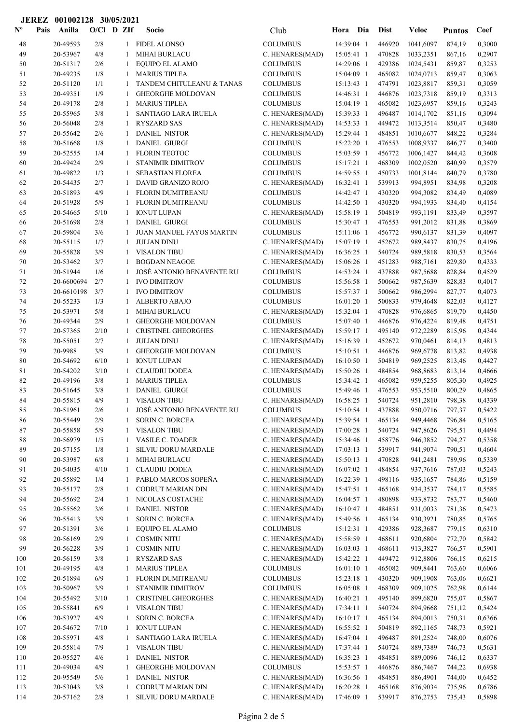## JEREZ 001002128 30/05/2021

| $\mathbf{N}^{\mathbf{o}}$ | Pais<br>Anilla         | O/Cl D ZIf |              | Socio                                            | Club                               | Hora Dia                   | <b>Dist</b>       | <b>Veloc</b>           | <b>Puntos</b>    | Coef             |
|---------------------------|------------------------|------------|--------------|--------------------------------------------------|------------------------------------|----------------------------|-------------------|------------------------|------------------|------------------|
| 48                        | 20-49593               | 2/8        | $\mathbf{1}$ | <b>FIDEL ALONSO</b>                              | <b>COLUMBUS</b>                    | 14:39:04 1                 | 446920            | 1041,6097              | 874,19           | 0,3000           |
| 49                        | 20-53967               | 4/8        | 1            | MIHAI BURLACU                                    | C. HENARES(MAD)                    | 15:05:41 1                 | 470828            | 1033,2351              | 867,16           | 0,2907           |
| 50                        | 20-51317               | 2/6        | 1            | EQUIPO EL ALAMO                                  | <b>COLUMBUS</b>                    | 14:29:06 1                 | 429386            | 1024,5431              | 859,87           | 0,3253           |
| 51                        | 20-49235               | 1/8        | 1            | <b>MARIUS TIPLEA</b>                             | <b>COLUMBUS</b>                    | 15:04:09 1                 | 465082            | 1024,0713              | 859,47           | 0,3063           |
| 52                        | 20-51120               | 1/1        | 1            | TANDEM CHITULEANU & TANAS                        | <b>COLUMBUS</b>                    | 15:13:43 1                 | 474791            | 1023,8817              | 859,31           | 0,3059           |
| 53                        | 20-49351               | 1/9        | 1            | <b>GHEORGHE MOLDOVAN</b>                         | <b>COLUMBUS</b>                    | 14:46:31 1                 | 446876            | 1023,7318              | 859,19           | 0,3313           |
| 54                        | 20-49178               | 2/8        | 1            | <b>MARIUS TIPLEA</b>                             | <b>COLUMBUS</b>                    | 15:04:19 1                 | 465082            | 1023,6957              | 859,16           | 0,3243           |
| 55                        | 20-55965               | 3/8        | 1            | SANTIAGO LARA IRUELA                             | C. HENARES(MAD)                    | 15:39:33 1                 | 496487            | 1014,1702              | 851,16           | 0,3094           |
| 56<br>57                  | 20-56048<br>20-55642   | 2/8<br>2/6 | 1<br>1       | <b>RYSZARD SAS</b><br><b>DANIEL NISTOR</b>       | C. HENARES(MAD)<br>C. HENARES(MAD) | 14:53:33 1<br>15:29:44 1   | 449472<br>484851  | 1013,3514<br>1010,6677 | 850,47<br>848,22 | 0,3480<br>0,3284 |
| 58                        | 20-51668               | 1/8        | 1            | <b>DANIEL GIURGI</b>                             | <b>COLUMBUS</b>                    | 15:22:20 1                 | 476553            | 1008,9337              | 846,77           | 0,3400           |
| 59                        | 20-52555               | 1/4        | 1            | <b>FLORIN TEOTOC</b>                             | <b>COLUMBUS</b>                    | 15:03:59 1                 | 456772            | 1006,1427              | 844,42           | 0,3608           |
| 60                        | 20-49424               | 2/9        | 1            | STANIMIR DIMITROV                                | <b>COLUMBUS</b>                    | 15:17:21 1                 | 468309            | 1002,0520              | 840,99           | 0,3579           |
| 61                        | 20-49822               | 1/3        | 1            | <b>SEBASTIAN FLOREA</b>                          | <b>COLUMBUS</b>                    | 14:59:55 1                 | 450733            | 1001,8144              | 840,79           | 0,3780           |
| 62                        | 20-54435               | 2/7        | 1            | DAVID GRANIZO ROJO                               | C. HENARES(MAD)                    | 16:32:41 1                 | 539913            | 994,8951               | 834,98           | 0,3208           |
| 63                        | 20-51893               | 4/9        | 1            | FLORIN DUMITREANU                                | <b>COLUMBUS</b>                    | 14:42:47 1                 | 430320            | 994,3082               | 834,49           | 0,4089           |
| 64                        | 20-51928               | 5/9        | 1            | FLORIN DUMITREANU                                | <b>COLUMBUS</b>                    | 14:42:50 1                 | 430320            | 994,1933               | 834,40           | 0,4154           |
| 65                        | 20-54665               | 5/10       | 1            | <b>IONUT LUPAN</b>                               | C. HENARES(MAD)                    | 15:58:19 1                 | 504819            | 993,1191               | 833,49           | 0,3597           |
| 66                        | 20-51698               | $2/8$      | 1            | <b>DANIEL GIURGI</b>                             | <b>COLUMBUS</b>                    | 15:30:47 1                 | 476553            | 991,2012               | 831,88           | 0,3869           |
| 67                        | 20-59804               | 3/6        | 1            | JUAN MANUEL FAYOS MARTIN                         | <b>COLUMBUS</b>                    | 15:11:06 1                 | 456772            | 990,6137               | 831,39           | 0,4097           |
| 68                        | 20-55115               | 1/7        | 1            | <b>JULIAN DINU</b>                               | C. HENARES(MAD)                    | 15:07:19 1                 | 452672            | 989,8437               | 830,75           | 0,4196           |
| 69                        | 20-55828               | 3/9        | 1            | <b>VISALON TIBU</b>                              | C. HENARES(MAD)                    | 16:36:25 1                 | 540724            | 989,5818               | 830,53           | 0,3564           |
| 70                        | 20-53462               | 3/7        | 1            | <b>BOGDAN NEAGOE</b>                             | C. HENARES(MAD)                    | 15:06:26 1                 | 451283            | 988,7161               | 829,80           | 0,4333           |
| 71<br>72                  | 20-51944<br>20-6600694 | 1/6<br>2/7 | 1<br>1       | JOSÉ ANTONIO BENAVENTE RU<br><b>IVO DIMITROV</b> | <b>COLUMBUS</b><br><b>COLUMBUS</b> | 14:53:24 1<br>15:56:58 1   | 437888<br>500662  | 987,5688<br>987,5639   | 828,84<br>828,83 | 0,4529<br>0,4017 |
| 73                        | 20-6610198             | 3/7        | 1            | <b>IVO DIMITROV</b>                              | <b>COLUMBUS</b>                    | 15:57:37 1                 | 500662            | 986,2994               | 827,77           | 0,4073           |
| 74                        | 20-55233               | 1/3        | 1            | ALBERTO ABAJO                                    | <b>COLUMBUS</b>                    | 16:01:20 1                 | 500833            | 979,4648               | 822,03           | 0,4127           |
| 75                        | 20-53971               | $5/8$      | 1            | <b>MIHAI BURLACU</b>                             | C. HENARES(MAD)                    | 15:32:04 1                 | 470828            | 976,6865               | 819,70           | 0,4450           |
| 76                        | 20-49344               | 2/9        | 1            | <b>GHEORGHE MOLDOVAN</b>                         | <b>COLUMBUS</b>                    | 15:07:40 1                 | 446876            | 976,4224               | 819,48           | 0,4751           |
| 77                        | 20-57365               | 2/10       | 1            | <b>CRISTINEL GHEORGHES</b>                       | C. HENARES(MAD)                    | 15:59:17 1                 | 495140            | 972,2289               | 815,96           | 0,4344           |
| $78\,$                    | 20-55051               | 2/7        | 1            | <b>JULIAN DINU</b>                               | C. HENARES(MAD)                    | 15:16:39 1                 | 452672            | 970,0461               | 814,13           | 0,4813           |
| 79                        | 20-9988                | 3/9        | 1            | <b>GHEORGHE MOLDOVAN</b>                         | <b>COLUMBUS</b>                    | 15:10:51 1                 | 446876            | 969,6778               | 813,82           | 0,4938           |
| 80                        | 20-54692               | 6/10       | 1            | <b>IONUT LUPAN</b>                               | C. HENARES(MAD)                    | 16:10:50 1                 | 504819            | 969,2525               | 813,46           | 0,4427           |
| 81                        | 20-54202               | 3/10       | 1            | <b>CLAUDIU DODEA</b>                             | C. HENARES(MAD)                    | 15:50:26 1                 | 484854            | 968,8683               | 813,14           | 0,4666           |
| 82                        | 20-49196               | 3/8        | 1            | <b>MARIUS TIPLEA</b>                             | <b>COLUMBUS</b>                    | 15:34:42 1                 | 465082            | 959,5255               | 805,30           | 0,4925           |
| 83                        | 20-51645               | 3/8        | 1            | <b>DANIEL GIURGI</b>                             | <b>COLUMBUS</b>                    | 15:49:46 1                 | 476553            | 953,5510               | 800,29           | 0,4865           |
| 84                        | 20-55815               | 4/9        | $\mathbf{1}$ | <b>VISALON TIBU</b><br>JOSÉ ANTONIO BENAVENTE RU | C. HENARES(MAD)                    | 16:58:25 1                 | 540724            | 951,2810               | 798,38           | 0,4339           |
| 85                        | 20-51961               | $2/6$      | 1            |                                                  | COLUMBUS                           |                            | 15:10:54 1 437888 | 950,0716               | 797,37           | 0,5422           |
| 86<br>87                  | 20-55449<br>20-55858   | 2/9<br>5/9 | 1<br>1       | SORIN C. BORCEA<br><b>VISALON TIBU</b>           | C. HENARES(MAD)<br>C. HENARES(MAD) | 15:39:54 1<br>17:00:28 1   | 465134<br>540724  | 949,4468<br>947,8626   | 796,84<br>795,51 | 0,5165<br>0,4494 |
| 88                        | 20-56979               | 1/5        | 1            | <b>VASILE C. TOADER</b>                          | C. HENARES(MAD)                    | 15:34:46 1                 | 458776            | 946,3852               | 794,27           | 0,5358           |
| 89                        | 20-57155               | 1/8        | 1            | <b>SILVIU DORU MARDALE</b>                       | C. HENARES(MAD)                    | $17:03:13$ 1               | 539917            | 941,9074               | 790,51           | 0,4604           |
| 90                        | 20-53987               | 6/8        | 1            | <b>MIHAI BURLACU</b>                             | C. HENARES(MAD)                    | 15:50:13 1                 | 470828            | 941,2481               | 789,96           | 0,5339           |
| 91                        | 20-54035               | 4/10       | 1            | <b>CLAUDIU DODEA</b>                             | C. HENARES(MAD)                    | 16:07:02 1                 | 484854            | 937,7616               | 787,03           | 0,5243           |
| 92                        | 20-55892               | 1/4        | 1            | PABLO MARCOS SOPEÑA                              | C. HENARES(MAD)                    | 16:22:39 1                 | 498116            | 935,1657               | 784,86           | 0,5159           |
| 93                        | 20-55177               | 2/8        | 1            | <b>CODRUT MARIAN DIN</b>                         | C. HENARES(MAD)                    | 15:47:51 1                 | 465168            | 934,3537               | 784,17           | 0,5585           |
| 94                        | 20-55692               | 2/4        | 1            | NICOLAS COSTACHE                                 | C. HENARES(MAD)                    | 16:04:57 1                 | 480898            | 933,8732               | 783,77           | 0,5460           |
| 95                        | 20-55562               | 3/6        | 1            | <b>DANIEL NISTOR</b>                             | C. HENARES(MAD)                    | $16:10:47$ 1               | 484851            | 931,0033               | 781,36           | 0,5473           |
| 96                        | 20-55413               | 3/9        | 1            | <b>SORIN C. BORCEA</b>                           | C. HENARES(MAD)                    | 15:49:56 1                 | 465134            | 930,3921               | 780,85           | 0,5765           |
| 97                        | 20-51391               | 3/6        | 1            | EQUIPO EL ALAMO                                  | <b>COLUMBUS</b>                    | 15:12:31 1                 | 429386            | 928,3687               | 779,15           | 0,6310           |
| 98                        | 20-56169               | 2/9        | 1            | <b>COSMIN NITU</b>                               | C. HENARES(MAD)                    | 15:58:59 1                 | 468611            | 920,6804               | 772,70           | 0,5842           |
| 99                        | 20-56228               | 3/9        | 1            | <b>COSMIN NITU</b>                               | C. HENARES(MAD)                    | 16:03:03 1                 | 468611            | 913,3827               | 766,57           | 0,5901           |
| 100                       | 20-56159<br>20-49195   | 3/8<br>4/8 | 1            | <b>RYSZARD SAS</b><br><b>MARIUS TIPLEA</b>       | C. HENARES(MAD)<br><b>COLUMBUS</b> | 15:42:22 1<br>$16:01:10$ 1 | 449472<br>465082  | 912,8806               | 766,15           | 0,6215           |
| 101<br>102                | 20-51894               | 6/9        | 1<br>1       | FLORIN DUMITREANU                                | <b>COLUMBUS</b>                    | 15:23:18 1                 | 430320            | 909,8441<br>909,1908   | 763,60<br>763,06 | 0,6066<br>0,6621 |
| 103                       | 20-50967               | 3/9        | 1            | STANIMIR DIMITROV                                | <b>COLUMBUS</b>                    | 16:05:08 1                 | 468309            | 909,1025               | 762,98           | 0,6144           |
| 104                       | 20-55492               | 3/10       | 1            | <b>CRISTINEL GHEORGHES</b>                       | C. HENARES(MAD)                    | 16:40:21 1                 | 495140            | 899,6820               | 755,07           | 0,5867           |
| 105                       | 20-55841               | 6/9        | 1            | <b>VISALON TIBU</b>                              | C. HENARES(MAD)                    | 17:34:11 1                 | 540724            | 894,9668               | 751,12           | 0,5424           |
| 106                       | 20-53927               | 4/9        | 1            | SORIN C. BORCEA                                  | C. HENARES(MAD)                    | 16:10:17 1                 | 465134            | 894,0013               | 750,31           | 0,6366           |
| 107                       | 20-54672               | 7/10       | 1            | <b>IONUT LUPAN</b>                               | C. HENARES(MAD)                    | 16:55:52 1                 | 504819            | 892,1165               | 748,73           | 0,5921           |
| 108                       | 20-55971               | 4/8        | 1            | SANTIAGO LARA IRUELA                             | C. HENARES(MAD)                    | 16:47:04 1                 | 496487            | 891,2524               | 748,00           | 0,6076           |
| 109                       | 20-55814               | 7/9        | 1            | <b>VISALON TIBU</b>                              | C. HENARES(MAD)                    | 17:37:44 1                 | 540724            | 889,7389               | 746,73           | 0,5631           |
| 110                       | 20-95527               | 4/6        | 1            | <b>DANIEL NISTOR</b>                             | C. HENARES(MAD)                    | 16:35:23 1                 | 484851            | 889,0096               | 746,12           | 0,6337           |
| 111                       | 20-49034               | 4/9        | 1            | <b>GHEORGHE MOLDOVAN</b>                         | <b>COLUMBUS</b>                    | 15:53:57 1                 | 446876            | 886,7467               | 744,22           | 0,6938           |
| 112                       | 20-95549               | 5/6        | 1            | <b>DANIEL NISTOR</b>                             | C. HENARES(MAD)                    | 16:36:56 1                 | 484851            | 886,4901               | 744,00           | 0,6452           |
| 113                       | 20-53043               | 3/8        | 1            | CODRUT MARIAN DIN                                | C. HENARES(MAD)                    | 16:20:28 1                 | 465168            | 876,9034               | 735,96           | 0,6786           |
| 114                       | 20-57162               | $2/8$      | 1            | SILVIU DORU MARDALE                              | C. HENARES(MAD)                    | 17:46:09 1                 | 539917            | 876,2753               | 735,43           | 0,5898           |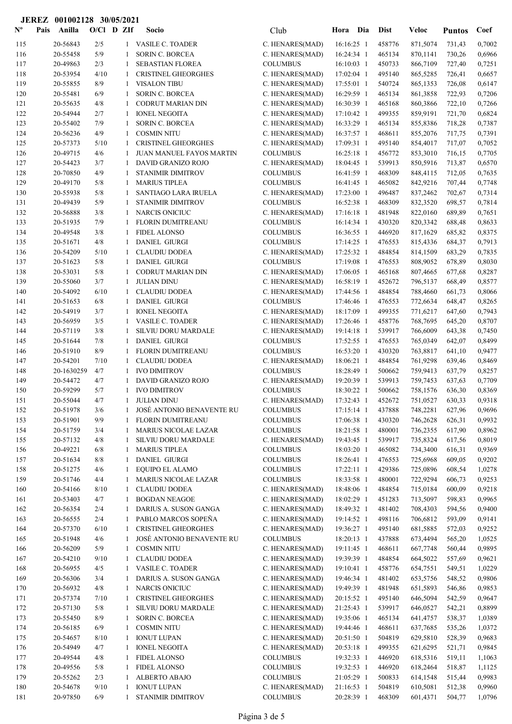## Nº Pais Anilla O/Cl D ZIf Socio Club Hora Dia Dist Veloc Pais Anilla Socio O/Cl D ZIf Coef Club Dist Puntos 115 20-56843 2/5 1 VASILE C. TOADER C. HENARES(MAD) 16:16:25 1 458776 871,5074 731,43 0,7002 116 20-55458 5/9 1 SORIN C. BORCEA C. HENARES(MAD) 16:24:34 1 465134 870,1141 730,26 0,6966 117 20-49863 2/3 1 SEBASTIAN FLOREA COLUMBUS 16:10:03 1 450733 866,7109 727,40 0,7251 118 20-53954 4/10 1 CRISTINEL GHEORGHES C. HENARES(MAD) 17:02:04 1 495140 865,5285 726,41 0,6657 119 20-55855 8/9 1 VISALON TIBU C. HENARES(MAD) 17:55:01 1 540724 865,1353 726,08 0,6147 120 20-55481 6/9 1 SORIN C. BORCEA C. HENARES(MAD) 16:29:59 1 465134 861,3858 722,93 0,7206 121 20-55635 4/8 1 CODRUT MARIAN DIN C. HENARES(MAD) 16:30:39 1 465168 860,3866 722,10 0,7266 122 20-54944 2/7 1 IONEL NEGOITA C. HENARES(MAD) 17:10:42 1 499355 859,9191 721,70 0,6824 123 20-55402 7/9 1 SORIN C. BORCEA C. HENARES(MAD) 16:33:29 1 465134 855,8386 718,28 0,7387 124 20-56236 4/9 1 COSMIN NITU C. HENARES(MAD) 16:37:57 1 468611 855,2076 717,75 0,7391 125 20-57373 5/10 1 CRISTINEL GHEORGHES C. HENARES(MAD) 17:09:31 1 495140 854,4017 717,07 0,7052 126 20-49715 4/6 1 JUAN MANUEL FAYOS MARTIN COLUMBUS 16:25:18 1 456772 853,3010 716.15 0,7705 127 20-54423 3/7 1 DAVID GRANIZO ROJO C. HENARES(MAD) 18:04:45 1 539913 850,5916 713,87 0,6570 128 20-70850 4/9 1 STANIMIR DIMITROV COLUMBUS 16:41:59 1 468309 848,4115 712,05 0,7635 129 20-49170 5/8 1 MARIUS TIPLEA COLUMBUS 16:41:45 1 465082 842,9216 707,44 0,7748 130 20-55938 5/8 1 SANTIAGO LARA IRUELA C. HENARES(MAD) 17:23:00 1 496487 837,2462 702,67 0,7314 131 20-49439 5/9 1 STANIMIR DIMITROV COLUMBUS 16:52:38 1 468309 832,3520 698.57 0,7814 132 20-56888 3/8 1 NARCIS ONICIUC C. HENARES(MAD) 17:16:18 1 481948 822,0160 689,89 0,7651 133 FLORIN DUMITREANU 20-51935 16:14:34 1 430320 7/9 1 0,8633 COLUMBUS 820,3342 688,48 134 20-49548 3/8 1 FIDEL ALONSO COLUMBUS 16:36:55 1 446920 817,1629 685,82 0,8375 135 20-51671 4/8 1 DANIEL GIURGI COLUMBUS 17:14:25 1 476553 815,4336 684,37 0,7913 136 20-54209 5/10 1 CLAUDIU DODEA C. HENARES(MAD) 17:25:32 1 484854 814,1509 683,29 0,7835 137 20-51623 5/8 1 DANIEL GIURGI COLUMBUS 17:19:08 1 476553 808,9052 678,89 0,8030 138 20-53031 5/8 1 CODRUT MARIAN DIN C. HENARES(MAD) 17:06:05 1 465168 807,4665 677,68 0,8287 139 20-55060 3/7 1 JULIAN DINU C. HENARES(MAD) 16:58:19 1 452672 796,5137 668,49 0,8577 140 20-54092 6/10 1 CLAUDIU DODEA C. HENARES(MAD) 17:44:56 1 484854 788,4660 661,73 0,8066 141 20-51653 6/8 1 DANIEL GIURGI COLUMBUS 17:46:46 1 476553 772,6634 648,47 0,8265 142 20-54919 3/7 1 IONEL NEGOITA C. HENARES(MAD) 18:17:09 1 499355 771,6217 647,60 0,7943 143 20-56959 3/5 1 VASILE C. TOADER C. HENARES(MAD) 17:26:46 1 458776 768,7695 645,20 0,8707 144 20-57119 3/8 1 SILVIU DORU MARDALE C. HENARES(MAD) 19:14:18 1 539917 766,6009 643,38 0,7450 145 20-51644 7/8 1 DANIEL GIURGI COLUMBUS 17:52:55 1 476553 765,0349 642,07 0,8499 146 20-51910 8/9 1 FLORIN DUMITREANU COLUMBUS 16:53:20 1 430320 763,8817 641,10 0,9477 147 20-54201 7/10 1 CLAUDIU DODEA C. HENARES(MAD) 18:06:21 1 484854 761,9298 639,46 0,8469 148 20-1630259 4/7 1 IVO DIMITROV COLUMBUS 18:28:49 1 500662 759,9413 637,79 0,8257 149  $20-54472$   $4/7$  1 DAVID GRANIZO ROJO C. HENARES(MAD) 19:20:39 1 539913 759,7453 637,63 0,7709 150 20-59299 5/7 1 IVO DIMITROV COLUMBUS 18:30:22 1 500662 758,1576 636,30 0,8369 151 20-55044 4/7 1 JULIAN DINU C. HENARES(MAD) 17:32:43 1 452672 751,0527 630,33 0,9318 152 20-51978 3/6 1 JOSÉ ANTONIO BENAVENTE RU COLUMBUS 17:15:14 1 437888 748.2281 627.96 0.9696 153 FLORIN DUMITREANU 20-51901 17:06:38 1 430320 9/9 1 0,9932 COLUMBUS 746,2628 626,31 154 MARIUS NICOLAE LAZAR 20-51759 18:21:58 1 480001 3/4 1 0,8962 COLUMBUS 736,2355 617,90 155 20-57132 4/8 1 SILVIU DORU MARDALE C. HENARES(MAD) 19:43:45 1 539917 735,8324 617.56 0,8019 156 20-49221 6/8 1 MARIUS TIPLEA COLUMBUS 18:03:20 1 465082 734,3400 616,31 0,9369 157 20-51634 8/8 1 DANIEL GIURGI COLUMBUS 18:26:41 1 476553 725,6968 609,05 0,9202 158 20-51275 4/6 1 EQUIPO EL ALAMO COLUMBUS 17:22:11 1 429386 725,0896 608,54 1,0278 159 159 20-51746 4/4 1 MARIUS NICOLAE LAZAR 2010 COLUMBUS 18:33:58 1 480001 722,9294 606,73 0,9253 160 20-54166 8/10 1 CLAUDIU DODEA C. HENARES(MAD) 18:48:06 1 484854 715,0184 600,09 0,9218 161 20-53403 4/7 1 BOGDAN NEAGOE C. HENARES(MAD) 18:02:29 1 451283 713,5097 598,83 0,9965 162 DARIUS A. SUSON GANGA 20-56354 18:49:32 1 481402 2/4 1 0,9400 C. HENARES(MAD) 708,4303 594,56 163 20-56555 2/4 1 PABLO MARCOS SOPEÑA C. HENARES(MAD) 19:14:52 1 498116 706,6812 593,09 0,9141 164 20-57370 6/10 1 CRISTINEL GHEORGHES C. HENARES(MAD) 19:36:27 1 495140 681,5885 572,03 0,9252 165 165 20-51948 4/6 1 JOSÉ ANTONIO BENAVENTE RU COLUMBUS 18:20:13 1 437888 673,4494 565,20 1,0525 166 20-56209 5/9 1 COSMIN NITU C. HENARES(MAD) 19:11:45 1 468611 667,7748 560,44 0,9895 167 20-54210 9/10 1 CLAUDIU DODEA C. HENARES(MAD) 19:39:39 1 484854 664,5022 557,69 0,9621 168 20-56955 4/5 1 VASILE C. TOADER C. HENARES(MAD) 19:10:41 1 458776 654,7551 549,51 1,0229 169  $20-56306$  3/4 1 DARIUS A. SUSON GANGA C. HENARES(MAD) 19:46:34 1 481402 653,5756 548,52 0,9806 170 20-56932 4/8 1 NARCIS ONICIUC C. HENARES(MAD) 19:49:39 1 481948 651,5893 546,86 0,9853 171 20-57374 7/10 1 CRISTINEL GHEORGHES C. HENARES(MAD) 20:15:52 1 495140 646,5094 542,59 0,9647 172 20-57130 5/8 1 SILVIU DORU MARDALE C. HENARES(MAD) 21:25:43 1 539917 646,0527 542,21 0,8899 173 20-55450 8/9 1 SORIN C. BORCEA C. HENARES(MAD) 19:35:06 1 465134 641,4757 538,37 1,0389 174 20-56185 6/9 1 COSMIN NITU C. HENARES(MAD) 19:44:46 1 468611 637,7685 535,26 1,0372 175 20-54657 8/10 1 IONUT LUPAN C. HENARES(MAD) 20:51:50 1 504819 629,5810 528,39 0,9683 176 20-54949 4/7 1 IONEL NEGOITA C. HENARES(MAD) 20:53:18 1 499355 621,6295 521,71 0,9845 177 20-49544 4/8 1 FIDEL ALONSO COLUMBUS 19:32:33 1 446920 618,5316 519,11 1,1063 178 20-49556 5/8 1 FIDEL ALONSO COLUMBUS 19:32:53 1 446920 618,2464 518,87 1,1125

## 179 20-55262 2/3 1 ALBERTO ABAJO COLUMBUS 21:05:29 1 500833 614,1548 515,44 0,9983 180 180 20-54678 9/10 1 IONUT LUPAN C. HENARES(MAD) 21:16:53 1 504819 610,5081 512,38 0,9960 181 20-97850 6/9 1 STANIMIR DIMITROV COLUMBUS 20:28:39 1 468309 601,4371 504,77 1,0796

JEREZ 001002128 30/05/2021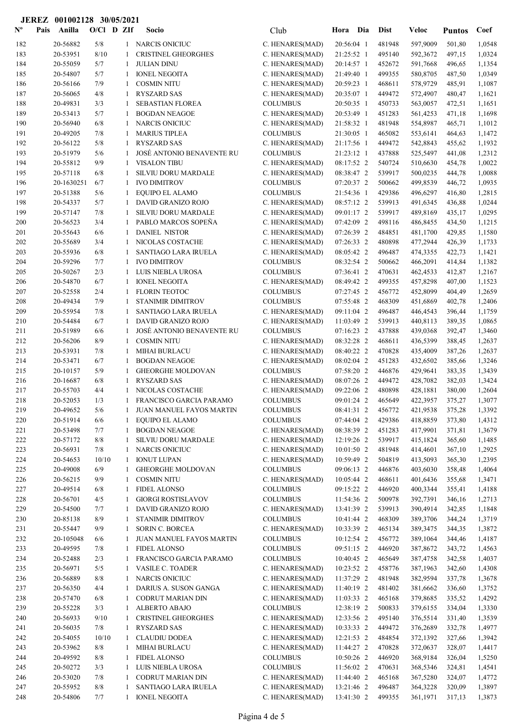|                           |      | JEREZ 001002128 30/05/2021 |              |              |                                                        |                                    |                          |                  |                      |                  |                  |
|---------------------------|------|----------------------------|--------------|--------------|--------------------------------------------------------|------------------------------------|--------------------------|------------------|----------------------|------------------|------------------|
| $\mathbf{N}^{\mathbf{o}}$ | Pais | Anilla                     | $O/CI$ D ZIf |              | Socio                                                  | Club                               | Hora Dia                 | <b>Dist</b>      | <b>Veloc</b>         | <b>Puntos</b>    | Coef             |
| 182                       |      | 20-56882                   | 5/8          |              | 1 NARCIS ONICIUC                                       | C. HENARES(MAD)                    | 20:56:04 1               | 481948           | 597,9009             | 501,80           | 1,0548           |
| 183                       |      | 20-53951                   | 8/10         | 1            | <b>CRISTINEL GHEORGHES</b>                             | C. HENARES(MAD)                    | 21:25:52 1               | 495140           | 592,3672             | 497,15           | 1,0324           |
| 184                       |      | 20-55059                   | 5/7          | 1            | <b>JULIAN DINU</b>                                     | C. HENARES(MAD)                    | 20:14:57 1               | 452672           | 591,7668             | 496,65           | 1,1354           |
| 185                       |      | 20-54807                   | 5/7          | 1            | <b>IONEL NEGOITA</b>                                   | C. HENARES(MAD)                    | 21:49:40 1               | 499355           | 580,8705             | 487,50           | 1,0349           |
| 186                       |      | 20-56166                   | 7/9          |              | <b>COSMIN NITU</b>                                     | C. HENARES(MAD)                    | 20:59:23 1               | 468611           | 578,9729             | 485,91           | 1,1087           |
| 187                       |      | 20-56065                   | 4/8          | 1            | <b>RYSZARD SAS</b>                                     | C. HENARES(MAD)                    | 20:35:07 1               | 449472           | 572,4907             | 480,47           | 1,1621           |
| 188                       |      | 20-49831                   | 3/3          |              | <b>SEBASTIAN FLOREA</b>                                | <b>COLUMBUS</b>                    | 20:50:35 1               | 450733           | 563,0057             | 472,51           | 1,1651           |
| 189                       |      | 20-53413                   | 5/7          |              | <b>BOGDAN NEAGOE</b>                                   | C. HENARES(MAD)                    | 20:53:49 1               | 451283           | 561,4253             | 471,18           | 1,1698           |
| 190                       |      | 20-56940                   | 6/8          | 1            | <b>NARCIS ONICIUC</b>                                  | C. HENARES(MAD)                    | 21:58:32 1               | 481948           | 554,8987             | 465,71           | 1,1012           |
| 191                       |      | 20-49205                   | 7/8          | 1            | <b>MARIUS TIPLEA</b>                                   | <b>COLUMBUS</b>                    | 21:30:05 1               | 465082           | 553,6141             | 464,63           | 1,1472           |
| 192                       |      | 20-56122                   | 5/8          | 1            | <b>RYSZARD SAS</b>                                     | C. HENARES(MAD)                    | 21:17:56 1               | 449472           | 542,8843             | 455,62           | 1,1932           |
| 193                       |      | 20-51979                   | 5/6          | 1            | <b>JOSÉ ANTONIO BENAVENTE RU</b>                       | <b>COLUMBUS</b>                    | 21:23:12 1               | 437888           | 525,5497             | 441,08           | 1,2312           |
| 194                       |      | 20-55812                   | 9/9          | -1           | <b>VISALON TIBU</b>                                    | C. HENARES(MAD)                    | 08:17:52 2               | 540724           | 510,6630             | 454,78           | 1,0022           |
| 195                       |      | 20-57118                   | 6/8          | 1            | SILVIU DORU MARDALE                                    | C. HENARES(MAD)                    | 08:38:47 2               | 539917           | 500,0235             | 444,78           | 1,0088           |
| 196                       |      | 20-1630251                 | 6/7          | 1            | <b>IVO DIMITROV</b>                                    | <b>COLUMBUS</b>                    | 07:20:37 2               | 500662           | 499,8539             | 446,72           | 1,0935           |
| 197                       |      | 20-51388                   | 5/6          | 1            | EQUIPO EL ALAMO                                        | <b>COLUMBUS</b>                    | 21:54:36 1               | 429386           | 496,6297             | 416,80           | 1,2815           |
| 198                       |      | 20-54337                   | 5/7          |              | DAVID GRANIZO ROJO                                     | C. HENARES(MAD)                    | 08:57:12 2               | 539913           | 491,6345             | 436,88           | 1,0244           |
| 199                       |      | 20-57147                   | 7/8          |              | SILVIU DORU MARDALE                                    | C. HENARES(MAD)                    | 09:01:17 2               | 539917           | 489,8169             | 435,17           | 1,0295           |
| 200                       |      | 20-56523                   | 3/4          |              | PABLO MARCOS SOPEÑA                                    | C. HENARES(MAD)                    | 07:42:09 2               | 498116           | 486,8455             | 434,50           | 1,1215           |
| 201                       |      | 20-55643                   | 6/6          | 1            | <b>DANIEL NISTOR</b>                                   | C. HENARES(MAD)                    | 07:26:39 2               | 484851           | 481,1700             | 429,85           | 1,1580           |
| 202                       |      | 20-55689                   | 3/4          | 1            | NICOLAS COSTACHE                                       | C. HENARES(MAD)                    | 07:26:33 2               | 480898           | 477,2944             | 426,39           | 1,1733           |
| 203                       |      | 20-55936                   | 6/8          | 1            | <b>SANTIAGO LARA IRUELA</b>                            | C. HENARES(MAD)                    | 08:05:42 2               | 496487           | 474,3355             | 422,73           | 1,1421           |
| 204                       |      | 20-59296                   | 7/7          | 1            | <b>IVO DIMITROV</b>                                    | <b>COLUMBUS</b>                    | 08:32:54 2               | 500662           | 466,2091             | 414,84           | 1,1382           |
| 205                       |      | 20-50267                   | 2/3          | 1            | LUIS NIEBLA UROSA                                      | <b>COLUMBUS</b>                    | 07:36:41 2               | 470631           | 462,4533             | 412,87           | 1,2167           |
| 206                       |      | 20-54870                   | 6/7          | 1            | <b>IONEL NEGOITA</b>                                   | C. HENARES(MAD)                    | 08:49:42 2               | 499355           | 457,8298             | 407,00           | 1,1523           |
| 207                       |      | 20-52558                   | 2/4          | 1            | <b>FLORIN TEOTOC</b>                                   | <b>COLUMBUS</b>                    | 07:27:45 2               | 456772           | 452,8099             | 404,49           | 1,2659           |
| 208                       |      | 20-49434                   | 7/9          | 1            | <b>STANIMIR DIMITROV</b>                               | <b>COLUMBUS</b>                    | 07:55:48 2               | 468309           | 451,6869             | 402,78           | 1,2406           |
| 209                       |      | 20-55954                   | 7/8          | 1            | SANTIAGO LARA IRUELA                                   | C. HENARES(MAD)                    | 09:11:04 2               | 496487           | 446,4543             | 396,44           | 1,1759           |
| 210                       |      | 20-54484                   | 6/7          |              | DAVID GRANIZO ROJO                                     | C. HENARES(MAD)                    | $11:03:49$ 2             | 539913           | 440,8113             | 389,35           | 1,0865           |
| 211                       |      | 20-51989                   | 6/6          |              | JOSÉ ANTONIO BENAVENTE RU                              | <b>COLUMBUS</b>                    | 07:16:23 2               | 437888           | 439,0368             | 392,47           | 1,3460           |
| 212                       |      | 20-56206                   | 8/9          | 1            | <b>COSMIN NITU</b>                                     | C. HENARES(MAD)                    | 08:32:28 2               | 468611           | 436,5399             | 388,45           | 1,2637           |
| 213                       |      | 20-53931                   | 7/8          | 1            | <b>MIHAI BURLACU</b>                                   | C. HENARES(MAD)                    | 08:40:22 2               | 470828           | 435,4009             | 387,26           | 1,2637           |
| 214                       |      | 20-53471                   | 6/7          |              | <b>BOGDAN NEAGOE</b>                                   | C. HENARES(MAD)                    | 08:02:04 2               | 451283           | 432,6502             | 385,66           | 1,3246           |
| 215                       |      | 20-10157                   | 5/9          | 1            | <b>GHEORGHE MOLDOVAN</b>                               | <b>COLUMBUS</b>                    | 07:58:20 2               | 446876           | 429,9641             | 383,35           | 1,3439           |
| 216                       |      | 20-16687                   | 6/8          | 1            | <b>RYSZARD SAS</b>                                     | C. HENARES(MAD)                    | 08:07:26 2               | 449472           | 428,7082             | 382,03           | 1,3424           |
| 217                       |      | 20-55703                   | 4/4          | 1            | NICOLAS COSTACHE                                       | C. HENARES(MAD)                    | 09:22:06 2               | 480898           | 428,1881             | 380,00           | 1,2604           |
| 218                       |      | 20-52053                   | 1/3          | $\mathbf{1}$ | FRANCISCO GARCIA PARAMO                                | COLUMBUS                           | 09:01:24 2 465649        |                  | 422,3957             | 375,27           | 1,3077           |
| 219                       |      | 20-49652                   | 5/6          |              | JUAN MANUEL FAYOS MARTIN                               | <b>COLUMBUS</b>                    | 08:41:31 2               | 456772           | 421,9538             | 375,28           | 1,3392           |
| 220                       |      | 20-51914                   | 6/6          | 1            | EQUIPO EL ALAMO                                        | <b>COLUMBUS</b>                    | 07:44:04 2               | 429386           | 418,8859             | 373,80           | 1,4312           |
| 221                       |      | 20-53498                   | 7/7          | 1            | <b>BOGDAN NEAGOE</b>                                   | C. HENARES(MAD)                    | 08:38:39 2               | 451283           | 417,9901             | 371,81           | 1,3679           |
| 222                       |      | 20-57172                   | 8/8          | 1            | SILVIU DORU MARDALE                                    | C. HENARES(MAD)                    | 12:19:26 2               | 539917           | 415,1824             | 365,60           | 1,1485           |
| 223                       |      | 20-56931                   | 7/8          | 1            | <b>NARCIS ONICIUC</b>                                  | C. HENARES(MAD)                    | 10:01:50 2               | 481948           | 414,4601             | 367,10           | 1,2925           |
| 224                       |      | 20-54653                   | 10/10        | 1            | <b>IONUT LUPAN</b>                                     | C. HENARES(MAD)                    | 10:59:49 2               | 504819           | 413,5093             | 365,30           | 1,2395           |
| 225                       |      | 20-49008                   | 6/9          | 1            | GHEORGHE MOLDOVAN<br><b>COSMIN NITU</b>                | <b>COLUMBUS</b>                    | 09:06:13 2               | 446876           | 403,6030             | 358,48           | 1,4064           |
| 226                       |      | 20-56215                   | 9/9          |              |                                                        | C. HENARES(MAD)                    | 10:05:44 2               | 468611           | 401,6436<br>400,3344 | 355,68           | 1,3471           |
| 227                       |      | 20-49514<br>20-56701       | 6/8          | 1            | <b>FIDEL ALONSO</b>                                    | <b>COLUMBUS</b>                    | 09:15:22 2<br>11:54:36 2 | 446920<br>500978 |                      | 355,41           | 1,4188           |
| 228                       |      | 20-54500                   | 4/5          | 1<br>1       | <b>GIORGI ROSTISLAVOV</b><br><b>DAVID GRANIZO ROJO</b> | <b>COLUMBUS</b>                    |                          | 539913           | 392,7391             | 346,16           | 1,2713           |
| 229<br>230                |      | 20-85138                   | 7/7<br>8/9   | 1            | STANIMIR DIMITROV                                      | C. HENARES(MAD)<br><b>COLUMBUS</b> | 13:41:39 2<br>10:41:44 2 | 468309           | 390,4914<br>389,3706 | 342,85<br>344,24 | 1,1848<br>1,3719 |
| 231                       |      | 20-55447                   | 9/9          | 1            | <b>SORIN C. BORCEA</b>                                 | C. HENARES(MAD)                    | 10:33:39 2               | 465134           | 389,3475             | 344,35           | 1,3872           |
| 232                       |      | 20-105048                  | 6/6          | 1            | JUAN MANUEL FAYOS MARTIN                               | <b>COLUMBUS</b>                    | 10:12:54 2               | 456772           | 389,1064             | 344,46           | 1,4187           |
| 233                       |      | 20-49595                   | 7/8          | 1            | <b>FIDEL ALONSO</b>                                    | <b>COLUMBUS</b>                    | 09:51:15 2               | 446920           | 387,8672             | 343,72           | 1,4563           |
| 234                       |      | 20-52488                   | 2/3          | 1            | FRANCISCO GARCIA PARAMO                                | <b>COLUMBUS</b>                    | 10:40:45 2               | 465649           | 387,4758             | 342,58           | 1,4037           |
| 235                       |      | 20-56971                   | 5/5          | 1            | <b>VASILE C. TOADER</b>                                | C. HENARES(MAD)                    | 10:23:52 2               | 458776           | 387,1963             | 342,60           | 1,4308           |
| 236                       |      | 20-56889                   | $8/8$        |              | <b>NARCIS ONICIUC</b>                                  | C. HENARES(MAD)                    | 11:37:29 2               | 481948           | 382,9594             | 337,78           | 1,3678           |
| 237                       |      | 20-56350                   | 4/4          |              | DARIUS A. SUSON GANGA                                  | C. HENARES(MAD)                    | 11:40:19 2               | 481402           | 381,6662             | 336,60           | 1,3752           |
| 238                       |      | 20-57470                   | 6/8          |              | <b>CODRUT MARIAN DIN</b>                               | C. HENARES(MAD)                    | 11:03:33 2               | 465168           | 379,8685             | 335,52           | 1,4292           |
| 239                       |      | 20-55228                   | 3/3          | 1            | ALBERTO ABAJO                                          | <b>COLUMBUS</b>                    | 12:38:19 2               | 500833           | 379,6155             | 334,04           | 1,3330           |
| 240                       |      | 20-56933                   | 9/10         | 1            | <b>CRISTINEL GHEORGHES</b>                             | C. HENARES(MAD)                    | 12:33:56 2               | 495140           | 376,5514             | 331,40           | 1,3539           |
| 241                       |      | 20-56035                   | 7/8          | 1            | <b>RYSZARD SAS</b>                                     | C. HENARES(MAD)                    | 10:33:33 2               | 449472           | 376,2689             | 332,78           | 1,4977           |
| 242                       |      | 20-54055                   | 10/10        | 1            | <b>CLAUDIU DODEA</b>                                   | C. HENARES(MAD)                    | 12:21:53 2               | 484854           | 372,1392             | 327,66           | 1,3942           |
| 243                       |      | 20-53962                   | 8/8          | 1            | <b>MIHAI BURLACU</b>                                   | C. HENARES(MAD)                    | 11:44:27 2               | 470828           | 372,0637             | 328,07           | 1,4417           |
| 244                       |      | 20-49592                   | 8/8          | -1           | <b>FIDEL ALONSO</b>                                    | <b>COLUMBUS</b>                    | 10:50:26 2               | 446920           | 368,9184             | 326,04           | 1,5250           |
| 245                       |      | 20-50272                   | 3/3          | 1            | LUIS NIEBLA UROSA                                      | <b>COLUMBUS</b>                    | 11:56:02 2               | 470631           | 368,5346             | 324,81           | 1,4541           |
| 246                       |      | 20-53020                   | 7/8          | 1            | <b>CODRUT MARIAN DIN</b>                               | C. HENARES(MAD)                    | 11:44:40 2               | 465168           | 367,5280             | 324,07           | 1,4772           |
| 247                       |      | 20-55952                   | $8/8$        | 1            | SANTIAGO LARA IRUELA                                   | C. HENARES(MAD)                    | 13:21:46 2               | 496487           | 364,3228             | 320,09           | 1,3897           |
| 248                       |      | 20-54806                   | 7/7          | 1            | <b>IONEL NEGOITA</b>                                   | C. HENARES(MAD)                    | 13:41:30 2               | 499355           | 361,1971             | 317,13           | 1,3873           |